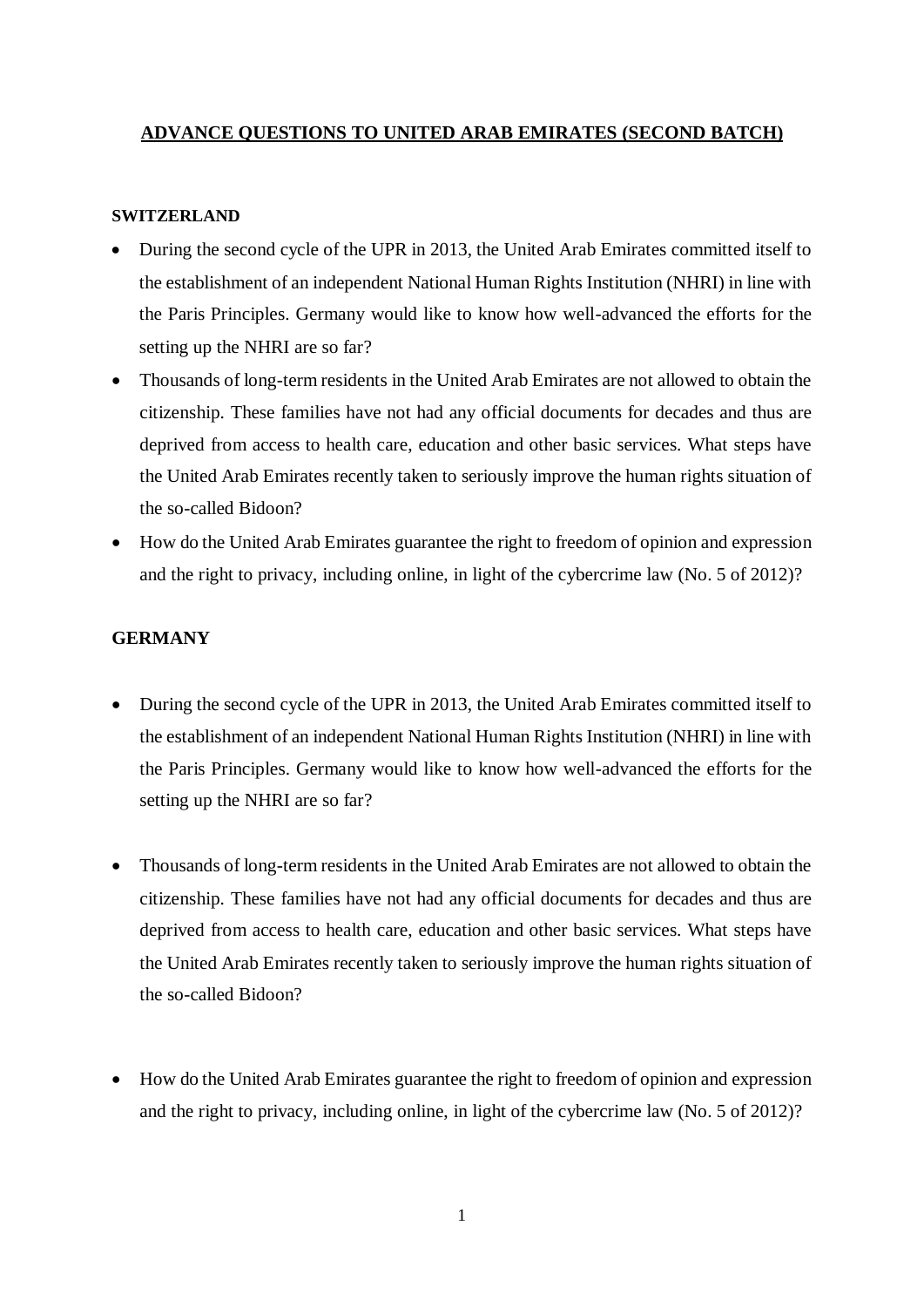## **ADVANCE QUESTIONS TO UNITED ARAB EMIRATES (SECOND BATCH)**

#### **SWITZERLAND**

- During the second cycle of the UPR in 2013, the United Arab Emirates committed itself to the establishment of an independent National Human Rights Institution (NHRI) in line with the Paris Principles. Germany would like to know how well-advanced the efforts for the setting up the NHRI are so far?
- Thousands of long-term residents in the United Arab Emirates are not allowed to obtain the citizenship. These families have not had any official documents for decades and thus are deprived from access to health care, education and other basic services. What steps have the United Arab Emirates recently taken to seriously improve the human rights situation of the so-called Bidoon?
- How do the United Arab Emirates guarantee the right to freedom of opinion and expression and the right to privacy, including online, in light of the cybercrime law (No. 5 of 2012)?

#### **GERMANY**

- During the second cycle of the UPR in 2013, the United Arab Emirates committed itself to the establishment of an independent National Human Rights Institution (NHRI) in line with the Paris Principles. Germany would like to know how well-advanced the efforts for the setting up the NHRI are so far?
- Thousands of long-term residents in the United Arab Emirates are not allowed to obtain the citizenship. These families have not had any official documents for decades and thus are deprived from access to health care, education and other basic services. What steps have the United Arab Emirates recently taken to seriously improve the human rights situation of the so-called Bidoon?
- How do the United Arab Emirates guarantee the right to freedom of opinion and expression and the right to privacy, including online, in light of the cybercrime law (No. 5 of 2012)?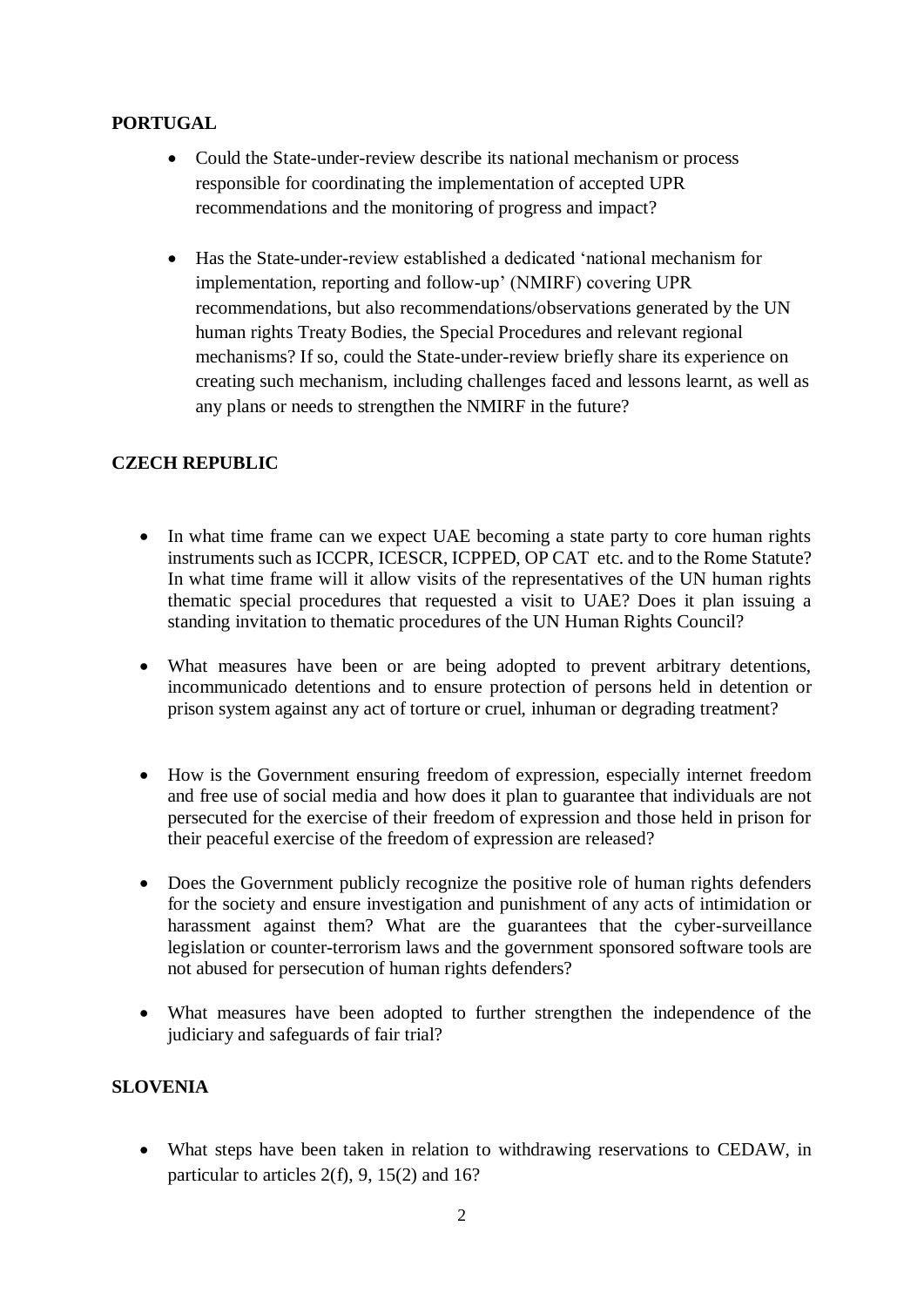# **PORTUGAL**

- Could the State-under-review describe its national mechanism or process responsible for coordinating the implementation of accepted UPR recommendations and the monitoring of progress and impact?
- Has the State-under-review established a dedicated 'national mechanism for implementation, reporting and follow-up' (NMIRF) covering UPR recommendations, but also recommendations/observations generated by the UN human rights Treaty Bodies, the Special Procedures and relevant regional mechanisms? If so, could the State-under-review briefly share its experience on creating such mechanism, including challenges faced and lessons learnt, as well as any plans or needs to strengthen the NMIRF in the future?

# **CZECH REPUBLIC**

- In what time frame can we expect UAE becoming a state party to core human rights instruments such as ICCPR, ICESCR, ICPPED, OP CAT etc. and to the Rome Statute? In what time frame will it allow visits of the representatives of the UN human rights thematic special procedures that requested a visit to UAE? Does it plan issuing a standing invitation to thematic procedures of the UN Human Rights Council?
- What measures have been or are being adopted to prevent arbitrary detentions, incommunicado detentions and to ensure protection of persons held in detention or prison system against any act of torture or cruel, inhuman or degrading treatment?
- How is the Government ensuring freedom of expression, especially internet freedom and free use of social media and how does it plan to guarantee that individuals are not persecuted for the exercise of their freedom of expression and those held in prison for their peaceful exercise of the freedom of expression are released?
- Does the Government publicly recognize the positive role of human rights defenders for the society and ensure investigation and punishment of any acts of intimidation or harassment against them? What are the guarantees that the cyber-surveillance legislation or counter-terrorism laws and the government sponsored software tools are not abused for persecution of human rights defenders?
- What measures have been adopted to further strengthen the independence of the judiciary and safeguards of fair trial?

## **SLOVENIA**

• What steps have been taken in relation to withdrawing reservations to CEDAW, in particular to articles 2(f), 9, 15(2) and 16?